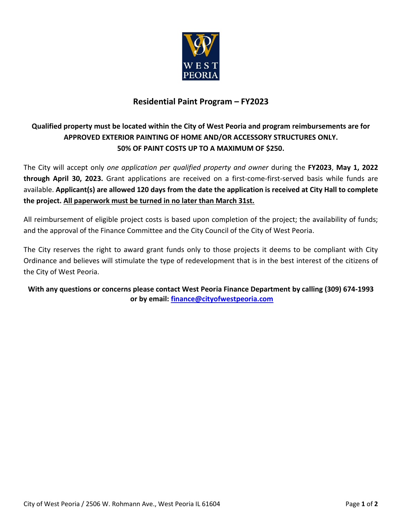

## **Residential Paint Program – FY2023**

## **Qualified property must be located within the City of West Peoria and program reimbursements are for APPROVED EXTERIOR PAINTING OF HOME AND/OR ACCESSORY STRUCTURES ONLY. 50% OF PAINT COSTS UP TO A MAXIMUM OF \$250.**

The City will accept only *one application per qualified property and owner* during the **FY2023**, **May 1, 2022 through April 30, 2023.** Grant applications are received on a first-come-first-served basis while funds are available. **Applicant(s) are allowed 120 days from the date the application is received at City Hall to complete the project. All paperwork must be turned in no later than March 31st.**

All reimbursement of eligible project costs is based upon completion of the project; the availability of funds; and the approval of the Finance Committee and the City Council of the City of West Peoria.

The City reserves the right to award grant funds only to those projects it deems to be compliant with City Ordinance and believes will stimulate the type of redevelopment that is in the best interest of the citizens of the City of West Peoria.

**With any questions or concerns please contact West Peoria Finance Department by calling (309) 674-1993 or by email: [finance@cityofwestpeoria.com](mailto:finance@cityofwestpeoria.com)**